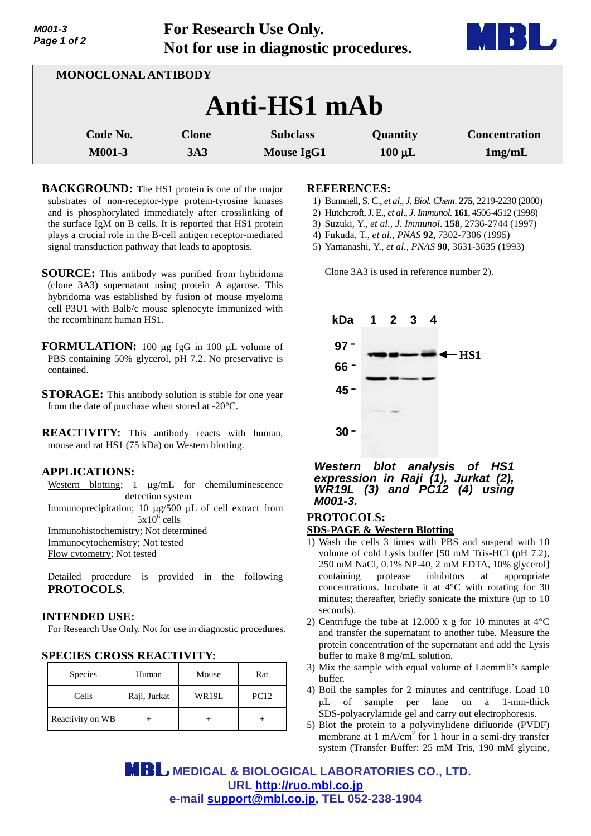| Page 1 of 2         | Not for use in diagnostic procedures. |                   |             |                      |  |  |
|---------------------|---------------------------------------|-------------------|-------------|----------------------|--|--|
| MONOCLONAL ANTIBODY |                                       |                   |             |                      |  |  |
| Anti-HS1 mAb        |                                       |                   |             |                      |  |  |
| Code No.            | <b>Clone</b>                          | <b>Subclass</b>   | Quantity    | <b>Concentration</b> |  |  |
| M001-3              | 3A3                                   | <b>Mouse IgG1</b> | $100 \mu L$ | 1mg/mL               |  |  |

**For Research Use Only.**

- **BACKGROUND:** The HS1 protein is one of the major substrates of non-receptor-type protein-tyrosine kinases and is phosphorylated immediately after crosslinking of the surface IgM on B cells. It is reported that HS1 protein plays a crucial role in the B-cell antigen receptor-mediated signal transduction pathway that leads to apoptosis.
- **SOURCE:** This antibody was purified from hybridoma (clone 3A3) supernatant using protein A agarose. This hybridoma was established by fusion of mouse myeloma cell P3U1 with Balb/c mouse splenocyte immunized with the recombinant human HS1.
- **FORMULATION:** 100 µg IgG in 100 µL volume of PBS containing 50% glycerol, pH 7.2. No preservative is contained.
- **STORAGE:** This antibody solution is stable for one year from the date of purchase when stored at -20°C.

**REACTIVITY:** This antibody reacts with human, mouse and rat HS1 (75 kDa) on Western blotting.

### **APPLICATIONS:**

*M001-3*

Western blotting;  $1 \mu g/mL$  for chemiluminescence detection system Immunoprecipitation; 10 µg/500 µL of cell extract from  $5x10^6$  cells Immunohistochemistry; Not determined

Immunocytochemistry; Not tested Flow cytometry; Not tested

Detailed procedure is provided in the following **PROTOCOLS**.

### **INTENDED USE:**

For Research Use Only. Not for use in diagnostic procedures.

### **SPECIES CROSS REACTIVITY:**

| <b>Species</b>   | Human        | Mouse | Rat         |
|------------------|--------------|-------|-------------|
| Cells            | Raji, Jurkat | WR19L | <b>PC12</b> |
| Reactivity on WB |              |       |             |

#### **REFERENCES:**

- 1) Bunnnell, S. C., *et al., J. Biol. Chem*. **275**, 2219-2230 (2000)
- 2) Hutchcroft, J. E., *et al*., *J. Immunol.* **161**, 4506-4512 (1998)
- 3) Suzuki, Y., *et al., J. Immunol*. **158**, 2736-2744 (1997)
- 4) Fukuda, T., *et al., PNAS* **92**, 7302-7306 (1995)
- 5) Yamanashi, Y., *et al., PNAS* **90**, 3631-3635 (1993)

Clone 3A3 is used in reference number 2).



### *Western blot analysis of HS1 expression in Raji (1), Jurkat (2), WR19L (3) and PC12 (4) using M001-3.*

# **PROTOCOLS: SDS-PAGE & Western Blotting**

- 1) Wash the cells 3 times with PBS and suspend with 10 volume of cold Lysis buffer [50 mM Tris-HCl (pH 7.2), 250 mM NaCl, 0.1% NP-40, 2 mM EDTA, 10% glycerol] containing protease inhibitors at appropriate concentrations. Incubate it at 4°C with rotating for 30 minutes; thereafter, briefly sonicate the mixture (up to 10 seconds).
- 2) Centrifuge the tube at 12,000 x g for 10 minutes at  $4^{\circ}$ C and transfer the supernatant to another tube. Measure the protein concentration of the supernatant and add the Lysis buffer to make 8 mg/mL solution.
- 3) Mix the sample with equal volume of Laemmli's sample buffer.
- 4) Boil the samples for 2 minutes and centrifuge. Load 10 L of sample per lane on a 1-mm-thick SDS-polyacrylamide gel and carry out electrophoresis.
- 5) Blot the protein to a polyvinylidene difluoride (PVDF) membrane at 1 mA/cm<sup>2</sup> for 1 hour in a semi-dry transfer system (Transfer Buffer: 25 mM Tris, 190 mM glycine,

 **MEDICAL & BIOLOGICAL LABORATORIES CO., LTD. URL <http://ruo.mbl.co.jp> e-mail [support@mbl.co.jp,](mailto:support@mbl.co.jp) TEL 052-238-1904**